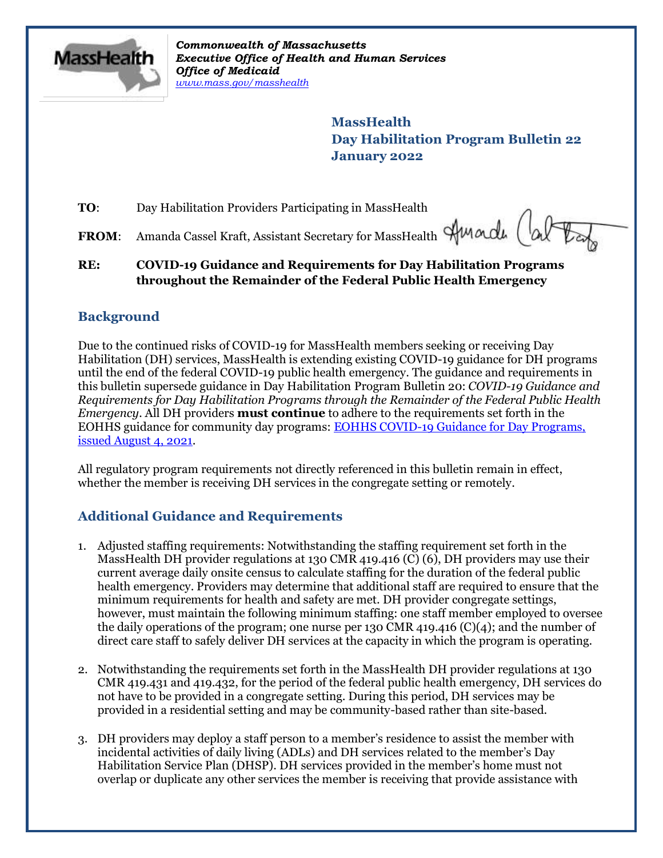

*Commonwealth of Massachusetts Executive Office of Health and Human Services Office of Medicaid [www.mass.gov/masshealth](http://www.mass.gov/masshealth)*

> **MassHealth Day Habilitation Program Bulletin 22 January 2022**

**TO**: Day Habilitation Providers Participating in MassHealth

**FROM:** Amanda Cassel Kraft, Assistant Secretary for MassHealth AMarch (a

### **RE: COVID-19 Guidance and Requirements for Day Habilitation Programs throughout the Remainder of the Federal Public Health Emergency**

## **Background**

Due to the continued risks of COVID-19 for MassHealth members seeking or receiving Day Habilitation (DH) services, MassHealth is extending existing COVID-19 guidance for DH programs until the end of the federal COVID-19 public health emergency. The guidance and requirements in this bulletin supersede guidance in Day Habilitation Program Bulletin 20: *COVID-19 Guidance and Requirements for Day Habilitation Programs through the Remainder of the Federal Public Health Emergency.* All DH providers **must continue** to adhere to the requirements set forth in the EOHHS guidance for community day programs: [EOHHS COVID-19 Guidance for Day Programs,](https://www.mass.gov/info-details/covid-19-public-health-guidance-and-directives)  [issued August 4, 2021.](https://www.mass.gov/info-details/covid-19-public-health-guidance-and-directives)

All regulatory program requirements not directly referenced in this bulletin remain in effect, whether the member is receiving DH services in the congregate setting or remotely.

# **Additional Guidance and Requirements**

- 1. Adjusted staffing requirements: Notwithstanding the staffing requirement set forth in the MassHealth DH provider regulations at 130 CMR 419.416 (C) (6), DH providers may use their current average daily onsite census to calculate staffing for the duration of the federal public health emergency. Providers may determine that additional staff are required to ensure that the minimum requirements for health and safety are met. DH provider congregate settings, however, must maintain the following minimum staffing: one staff member employed to oversee the daily operations of the program; one nurse per 130 CMR 419.416  $(C)(4)$ ; and the number of direct care staff to safely deliver DH services at the capacity in which the program is operating.
- 2. Notwithstanding the requirements set forth in the MassHealth DH provider regulations at 130 CMR 419.431 and 419.432, for the period of the federal public health emergency, DH services do not have to be provided in a congregate setting. During this period, DH services may be provided in a residential setting and may be community-based rather than site-based.
- 3. DH providers may deploy a staff person to a member's residence to assist the member with incidental activities of daily living (ADLs) and DH services related to the member's Day Habilitation Service Plan (DHSP). DH services provided in the member's home must not overlap or duplicate any other services the member is receiving that provide assistance with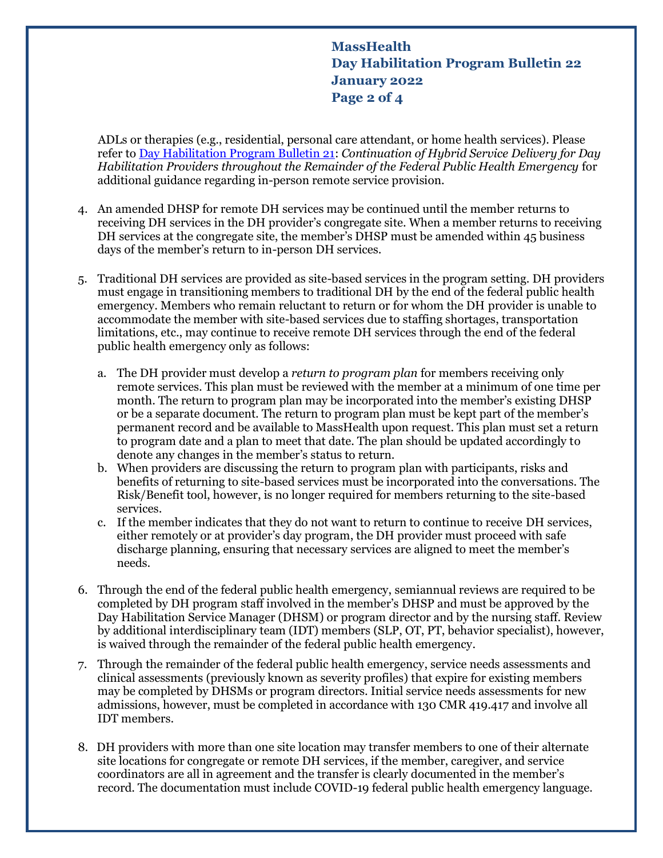**MassHealth Day Habilitation Program Bulletin 22 January 2022 Page 2 of 4**

 ADLs or therapies (e.g., residential, personal care attendant, or home health services). Please refer to [Day Habilitation Program Bulletin 21:](https://www.mass.gov/lists/masshealth-provider-bulletins-by-provider-type-d-h) *[Continuation of Hybrid Service Delivery for Day](https://www.mass.gov/lists/masshealth-provider-bulletins-by-provider-type-d-h)  [Habilitation Providers throughout the Remainder of the Federal Public Health Emergency](https://www.mass.gov/lists/masshealth-provider-bulletins-by-provider-type-d-h)* for additional guidance regarding in-person remote service provision.

- 4. An amended DHSP for remote DH services may be continued until the member returns to receiving DH services in the DH provider's congregate site. When a member returns to receiving DH services at the congregate site, the member's DHSP must be amended within 45 business days of the member's return to in-person DH services.
- 5. Traditional DH services are provided as site-based services in the program setting. DH providers must engage in transitioning members to traditional DH by the end of the federal public health emergency. Members who remain reluctant to return or for whom the DH provider is unable to accommodate the member with site-based services due to staffing shortages, transportation limitations, etc., may continue to receive remote DH services through the end of the federal public health emergency only as follows:
	- a. The DH provider must develop a *return to program plan* for members receiving only remote services. This plan must be reviewed with the member at a minimum of one time per month. The return to program plan may be incorporated into the member's existing DHSP or be a separate document. The return to program plan must be kept part of the member's permanent record and be available to MassHealth upon request. This plan must set a return to program date and a plan to meet that date. The plan should be updated accordingly to denote any changes in the member's status to return.
	- b. When providers are discussing the return to program plan with participants, risks and benefits of returning to site-based services must be incorporated into the conversations. The Risk/Benefit tool, however, is no longer required for members returning to the site-based services.
	- c. If the member indicates that they do not want to return to continue to receive DH services, either remotely or at provider's day program, the DH provider must proceed with safe discharge planning, ensuring that necessary services are aligned to meet the member's needs.
- 6. Through the end of the federal public health emergency, semiannual reviews are required to be completed by DH program staff involved in the member's DHSP and must be approved by the Day Habilitation Service Manager (DHSM) or program director and by the nursing staff. Review by additional interdisciplinary team (IDT) members (SLP, OT, PT, behavior specialist), however, is waived through the remainder of the federal public health emergency.
- 7. Through the remainder of the federal public health emergency, service needs assessments and clinical assessments (previously known as severity profiles) that expire for existing members may be completed by DHSMs or program directors. Initial service needs assessments for new admissions, however, must be completed in accordance with 130 CMR 419.417 and involve all IDT members.
- 8. DH providers with more than one site location may transfer members to one of their alternate site locations for congregate or remote DH services, if the member, caregiver, and service coordinators are all in agreement and the transfer is clearly documented in the member's record. The documentation must include COVID-19 federal public health emergency language.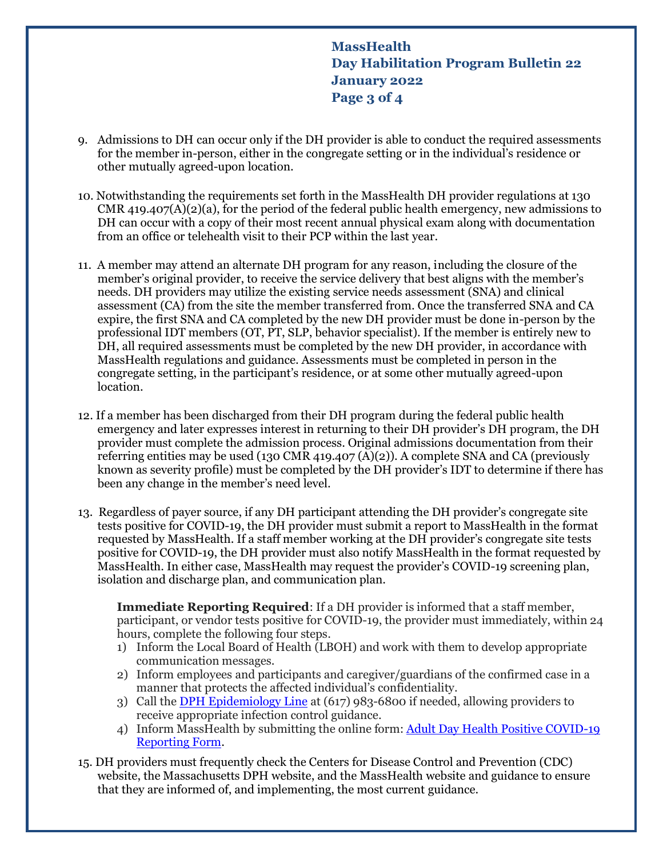**MassHealth Day Habilitation Program Bulletin 22 January 2022 Page 3 of 4**

- 9. Admissions to DH can occur only if the DH provider is able to conduct the required assessments for the member in-person, either in the congregate setting or in the individual's residence or other mutually agreed-upon location.
- 10. Notwithstanding the requirements set forth in the MassHealth DH provider regulations at 130 CMR 419.407(A)(2)(a), for the period of the federal public health emergency, new admissions to DH can occur with a copy of their most recent annual physical exam along with documentation from an office or telehealth visit to their PCP within the last year.
- 11. A member may attend an alternate DH program for any reason, including the closure of the member's original provider, to receive the service delivery that best aligns with the member's needs. DH providers may utilize the existing service needs assessment (SNA) and clinical assessment (CA) from the site the member transferred from. Once the transferred SNA and CA expire, the first SNA and CA completed by the new DH provider must be done in-person by the professional IDT members (OT, PT, SLP, behavior specialist). If the member is entirely new to DH, all required assessments must be completed by the new DH provider, in accordance with MassHealth regulations and guidance. Assessments must be completed in person in the congregate setting, in the participant's residence, or at some other mutually agreed-upon location.
- 12. If a member has been discharged from their DH program during the federal public health emergency and later expresses interest in returning to their DH provider's DH program, the DH provider must complete the admission process. Original admissions documentation from their referring entities may be used (130 CMR 419.407 (A)(2)). A complete SNA and CA (previously known as severity profile) must be completed by the DH provider's IDT to determine if there has been any change in the member's need level.
- 13. Regardless of payer source, if any DH participant attending the DH provider's congregate site tests positive for COVID-19, the DH provider must submit a report to MassHealth in the format requested by MassHealth. If a staff member working at the DH provider's congregate site tests positive for COVID-19, the DH provider must also notify MassHealth in the format requested by MassHealth. In either case, MassHealth may request the provider's COVID-19 screening plan, isolation and discharge plan, and communication plan.

**Immediate Reporting Required**: If a DH provider is informed that a staff member, participant, or vendor tests positive for COVID-19, the provider must immediately, within 24 hours, complete the following four steps.

- 1) Inform the Local Board of Health (LBOH) and work with them to develop appropriate communication messages.
- 2) Inform employees and participants and caregiver/guardians of the confirmed case in a manner that protects the affected individual's confidentiality.
- 3) Call th[e DPH Epidemiology Line](https://www.mass.gov/service-details/contact-information-for-surveillance-reporting-and-control) at (617) 983-6800 if needed, allowing providers to receive appropriate infection control guidance.
- 4) Inform MassHealth by submitting the online form: [Adult Day Health Positive COVID-19](https://app.keysurvey.com/f/41540929/1e0d/)  [Reporting Form.](https://app.keysurvey.com/f/41540929/1e0d/)
- 15. DH providers must frequently check the Centers for Disease Control and Prevention (CDC) website, the Massachusetts DPH website, and the MassHealth website and guidance to ensure that they are informed of, and implementing, the most current guidance.